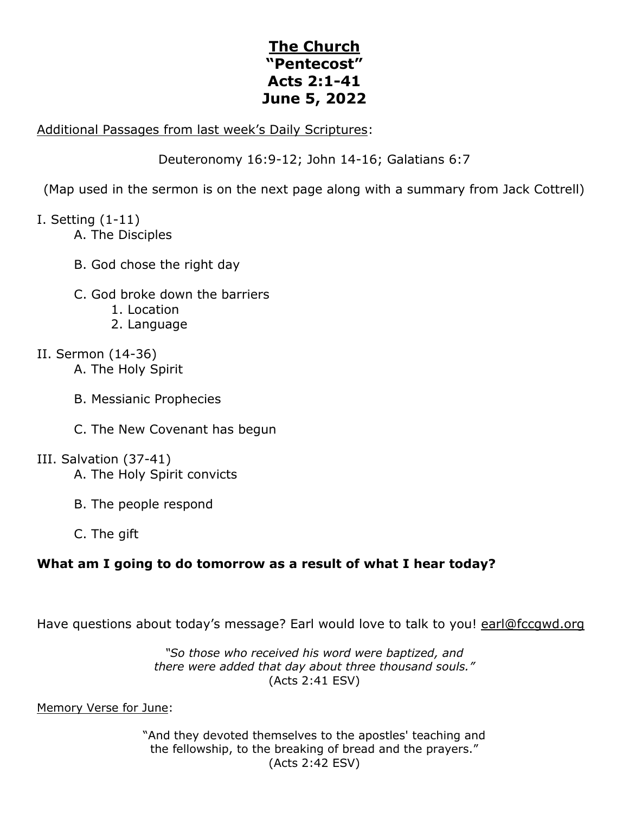# **The Church "Pentecost" Acts 2:1-41 June 5, 2022**

#### Additional Passages from last week's Daily Scriptures:

Deuteronomy 16:9-12; John 14-16; Galatians 6:7

(Map used in the sermon is on the next page along with a summary from Jack Cottrell)

### I. Setting (1-11)

- A. The Disciples
- B. God chose the right day
- C. God broke down the barriers
	- 1. Location
	- 2. Language

## II. Sermon (14-36)

- A. The Holy Spirit
- B. Messianic Prophecies
- C. The New Covenant has begun

### III. Salvation (37-41)

- A. The Holy Spirit convicts
- B. The people respond
- C. The gift

# **What am I going to do tomorrow as a result of what I hear today?**

Have questions about today's message? Earl would love to talk to you! earl@fccqwd.org

*"So those who received his word were baptized, and there were added that day about three thousand souls."* (Acts 2:41 ESV)

Memory Verse for June:

"And they devoted themselves to the apostles' teaching and the fellowship, to the breaking of bread and the prayers." (Acts 2:42 ESV)